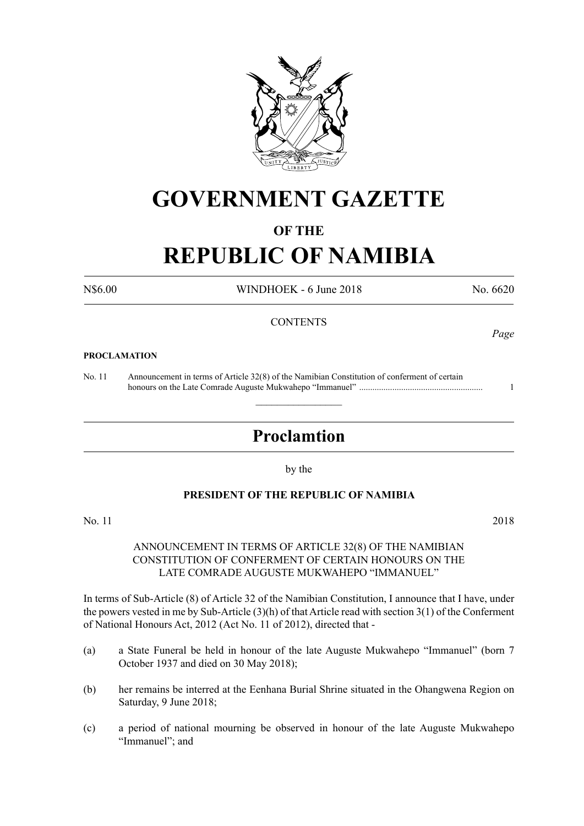

# **GOVERNMENT GAZETTE**

# **OF THE**

# **REPUBLIC OF NAMIBIA**

N\$6.00 WINDHOEK - 6 June 2018 No. 6620

*Page*

## **CONTENTS**

#### **PROCLAMATION**

No. 11 Announcement in terms of Article 32(8) of the Namibian Constitution of conferment of certain honours on the Late Comrade Auguste Mukwahepo "Immanuel" ........................................................ 1

# **Proclamtion**

 $\overline{\phantom{a}}$  , where  $\overline{\phantom{a}}$ 

by the

### **PRESIDENT OF THE REPUBLIC OF NAMIBIA**

No. 11 2018

## ANNOUNCEMENT IN TERMS OF ARTICLE 32(8) OF THE NAMIBIAN CONSTITUTION OF CONFERMENT OF CERTAIN HONOURS ON THE LATE COMRADE AUGUSTE MUKWAHEPO "IMMANUEL"

In terms of Sub-Article (8) of Article 32 of the Namibian Constitution, I announce that I have, under the powers vested in me by Sub-Article (3)(h) of that Article read with section 3(1) of the Conferment of National Honours Act, 2012 (Act No. 11 of 2012), directed that -

- (a) a State Funeral be held in honour of the late Auguste Mukwahepo "Immanuel" (born 7 October 1937 and died on 30 May 2018);
- (b) her remains be interred at the Eenhana Burial Shrine situated in the Ohangwena Region on Saturday, 9 June 2018;
- (c) a period of national mourning be observed in honour of the late Auguste Mukwahepo "Immanuel"; and